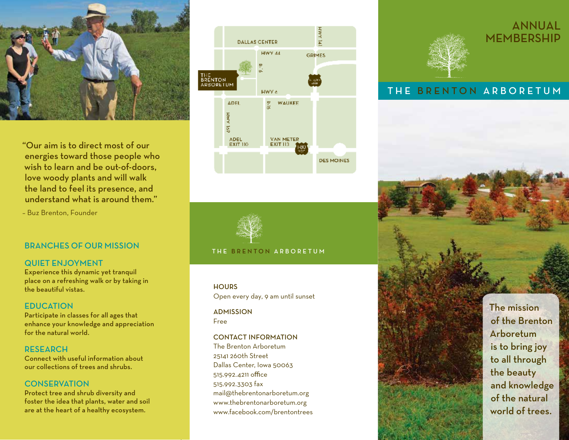

"Our aim is to direct most of our energies toward those people who wish to learn and be out-of-doors, love woody plants and will walk the land to feel its presence, and understand what is around them."

– Buz Brenton, Founder

### BRANCHES OF OUR MISSION

### QUIET ENJOYMENT

Experience this dynamic yet tranquil place on a refreshing walk or by taking in the beautiful vistas.

### **EDUCATION**

Participate in classes for all ages that enhance your knowledge and appreciationfor the natural world.

RESEARCH Connect with useful information about our collections of trees and shrubs.

### **CONSERVATION**

Protect tree and shrub diversity and foster the idea that plants, water and soil are at the heart of a healthy ecosystem.





#### THE BRENTON ARBORETUM

#### **HOURS**

Open every day, 9 am until sunset

**ADMISSION** Free

### CONTACT INFORMATION

The Brenton Arboretum 25141 260th Street Dallas Center, Iowa 50063 515.992.4211 office 515.992.3303 fax mail@thebrentonarboretum.org www.thebrentonarboretum.org www.facebook.com/brentontrees



## ANNUAL MEMBERSHIP

## THE BRENTON ARBORETUM